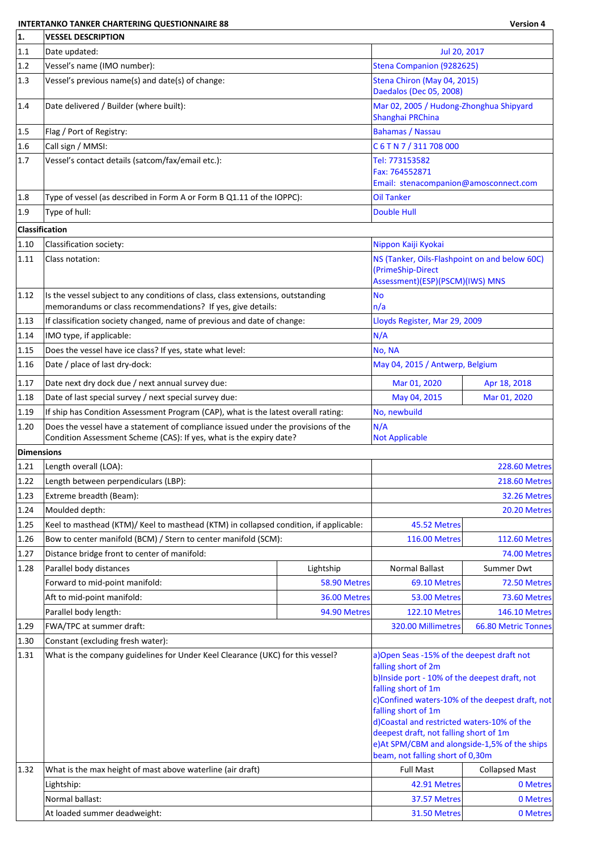## **INTERTANKO TANKER CHARTERING QUESTIONNAIRE 88 Version 4**

٦

| 1.                | <b>VESSEL DESCRIPTION</b>                                                                                                                                |                                                                                                                                                                                                                                                                                                                                                                                                 |                                                                                                       |                            |  |
|-------------------|----------------------------------------------------------------------------------------------------------------------------------------------------------|-------------------------------------------------------------------------------------------------------------------------------------------------------------------------------------------------------------------------------------------------------------------------------------------------------------------------------------------------------------------------------------------------|-------------------------------------------------------------------------------------------------------|----------------------------|--|
| 1.1               | Date updated:                                                                                                                                            |                                                                                                                                                                                                                                                                                                                                                                                                 | Jul 20, 2017                                                                                          |                            |  |
| 1.2               | Vessel's name (IMO number):                                                                                                                              |                                                                                                                                                                                                                                                                                                                                                                                                 | Stena Companion (9282625)                                                                             |                            |  |
| 1.3               | Vessel's previous name(s) and date(s) of change:                                                                                                         |                                                                                                                                                                                                                                                                                                                                                                                                 | Stena Chiron (May 04, 2015)<br>Daedalos (Dec 05, 2008)                                                |                            |  |
| 1.4               | Date delivered / Builder (where built):                                                                                                                  |                                                                                                                                                                                                                                                                                                                                                                                                 | Mar 02, 2005 / Hudong-Zhonghua Shipyard<br>Shanghai PRChina                                           |                            |  |
| 1.5               | Flag / Port of Registry:                                                                                                                                 |                                                                                                                                                                                                                                                                                                                                                                                                 | <b>Bahamas / Nassau</b>                                                                               |                            |  |
| 1.6               | Call sign / MMSI:                                                                                                                                        |                                                                                                                                                                                                                                                                                                                                                                                                 | C6TN7/311708000                                                                                       |                            |  |
| 1.7               | Vessel's contact details (satcom/fax/email etc.):                                                                                                        |                                                                                                                                                                                                                                                                                                                                                                                                 | Tel: 773153582<br>Fax: 764552871<br>Email: stenacompanion@amosconnect.com                             |                            |  |
| 1.8               | Type of vessel (as described in Form A or Form B Q1.11 of the IOPPC):                                                                                    |                                                                                                                                                                                                                                                                                                                                                                                                 | <b>Oil Tanker</b>                                                                                     |                            |  |
| 1.9               | Type of hull:                                                                                                                                            |                                                                                                                                                                                                                                                                                                                                                                                                 | <b>Double Hull</b>                                                                                    |                            |  |
| Classification    |                                                                                                                                                          |                                                                                                                                                                                                                                                                                                                                                                                                 |                                                                                                       |                            |  |
| 1.10              | Classification society:                                                                                                                                  |                                                                                                                                                                                                                                                                                                                                                                                                 | Nippon Kaiji Kyokai                                                                                   |                            |  |
| 1.11              | Class notation:                                                                                                                                          |                                                                                                                                                                                                                                                                                                                                                                                                 | NS (Tanker, Oils-Flashpoint on and below 60C)<br>(PrimeShip-Direct<br>Assessment)(ESP)(PSCM)(IWS) MNS |                            |  |
| 1.12              | Is the vessel subject to any conditions of class, class extensions, outstanding<br>memorandums or class recommendations? If yes, give details:           |                                                                                                                                                                                                                                                                                                                                                                                                 | No<br>n/a                                                                                             |                            |  |
| 1.13              | If classification society changed, name of previous and date of change:                                                                                  |                                                                                                                                                                                                                                                                                                                                                                                                 | Lloyds Register, Mar 29, 2009                                                                         |                            |  |
| 1.14              | IMO type, if applicable:                                                                                                                                 |                                                                                                                                                                                                                                                                                                                                                                                                 | N/A                                                                                                   |                            |  |
| 1.15              | Does the vessel have ice class? If yes, state what level:                                                                                                |                                                                                                                                                                                                                                                                                                                                                                                                 | No, NA                                                                                                |                            |  |
| 1.16              | Date / place of last dry-dock:                                                                                                                           |                                                                                                                                                                                                                                                                                                                                                                                                 | May 04, 2015 / Antwerp, Belgium                                                                       |                            |  |
| 1.17              | Date next dry dock due / next annual survey due:                                                                                                         |                                                                                                                                                                                                                                                                                                                                                                                                 | Mar 01, 2020                                                                                          | Apr 18, 2018               |  |
| 1.18              | Date of last special survey / next special survey due:                                                                                                   |                                                                                                                                                                                                                                                                                                                                                                                                 | May 04, 2015                                                                                          | Mar 01, 2020               |  |
| 1.19              | If ship has Condition Assessment Program (CAP), what is the latest overall rating:                                                                       |                                                                                                                                                                                                                                                                                                                                                                                                 | No, newbuild                                                                                          |                            |  |
| 1.20              | Does the vessel have a statement of compliance issued under the provisions of the<br>Condition Assessment Scheme (CAS): If yes, what is the expiry date? |                                                                                                                                                                                                                                                                                                                                                                                                 | N/A<br><b>Not Applicable</b>                                                                          |                            |  |
| <b>Dimensions</b> |                                                                                                                                                          |                                                                                                                                                                                                                                                                                                                                                                                                 |                                                                                                       |                            |  |
| 1.21              | Length overall (LOA):                                                                                                                                    |                                                                                                                                                                                                                                                                                                                                                                                                 |                                                                                                       | <b>228.60 Metres</b>       |  |
| 1.22              | Length between perpendiculars (LBP):                                                                                                                     |                                                                                                                                                                                                                                                                                                                                                                                                 | <b>218.60 Metres</b>                                                                                  |                            |  |
| 1.23              | Extreme breadth (Beam):                                                                                                                                  |                                                                                                                                                                                                                                                                                                                                                                                                 |                                                                                                       | 32.26 Metres               |  |
| 1.24              | Moulded depth:                                                                                                                                           |                                                                                                                                                                                                                                                                                                                                                                                                 |                                                                                                       | 20.20 Metres               |  |
| 1.25              | Keel to masthead (KTM)/ Keel to masthead (KTM) in collapsed condition, if applicable:                                                                    |                                                                                                                                                                                                                                                                                                                                                                                                 | 45.52 Metres                                                                                          |                            |  |
| 1.26              | Bow to center manifold (BCM) / Stern to center manifold (SCM):                                                                                           |                                                                                                                                                                                                                                                                                                                                                                                                 | <b>116.00 Metres</b>                                                                                  | <b>112.60 Metres</b>       |  |
| 1.27              | Distance bridge front to center of manifold:                                                                                                             |                                                                                                                                                                                                                                                                                                                                                                                                 |                                                                                                       | 74.00 Metres               |  |
| 1.28              | Parallel body distances                                                                                                                                  | Lightship                                                                                                                                                                                                                                                                                                                                                                                       | <b>Normal Ballast</b>                                                                                 | Summer Dwt                 |  |
|                   | Forward to mid-point manifold:                                                                                                                           | 58.90 Metres                                                                                                                                                                                                                                                                                                                                                                                    | 69.10 Metres                                                                                          | 72.50 Metres               |  |
|                   | Aft to mid-point manifold:                                                                                                                               | 36.00 Metres                                                                                                                                                                                                                                                                                                                                                                                    | 53.00 Metres                                                                                          | 73.60 Metres               |  |
|                   | Parallel body length:                                                                                                                                    | 94.90 Metres                                                                                                                                                                                                                                                                                                                                                                                    | <b>122.10 Metres</b>                                                                                  | <b>146.10 Metres</b>       |  |
| 1.29              | FWA/TPC at summer draft:                                                                                                                                 |                                                                                                                                                                                                                                                                                                                                                                                                 | 320.00 Millimetres                                                                                    | <b>66.80 Metric Tonnes</b> |  |
| 1.30              | Constant (excluding fresh water):                                                                                                                        |                                                                                                                                                                                                                                                                                                                                                                                                 |                                                                                                       |                            |  |
| 1.31              | What is the company guidelines for Under Keel Clearance (UKC) for this vessel?                                                                           | a) Open Seas -15% of the deepest draft not<br>falling short of 2m<br>b)Inside port - 10% of the deepest draft, not<br>falling short of 1m<br>c)Confined waters-10% of the deepest draft, not<br>falling short of 1m<br>d)Coastal and restricted waters-10% of the<br>deepest draft, not falling short of 1m<br>e)At SPM/CBM and alongside-1,5% of the ships<br>beam, not falling short of 0,30m |                                                                                                       |                            |  |
| 1.32              | What is the max height of mast above waterline (air draft)                                                                                               |                                                                                                                                                                                                                                                                                                                                                                                                 | <b>Full Mast</b>                                                                                      | <b>Collapsed Mast</b>      |  |
|                   | Lightship:                                                                                                                                               |                                                                                                                                                                                                                                                                                                                                                                                                 | 42.91 Metres                                                                                          | 0 Metres                   |  |
|                   | Normal ballast:                                                                                                                                          |                                                                                                                                                                                                                                                                                                                                                                                                 | 37.57 Metres                                                                                          | 0 Metres                   |  |
|                   | At loaded summer deadweight:                                                                                                                             |                                                                                                                                                                                                                                                                                                                                                                                                 | 31.50 Metres                                                                                          | 0 Metres                   |  |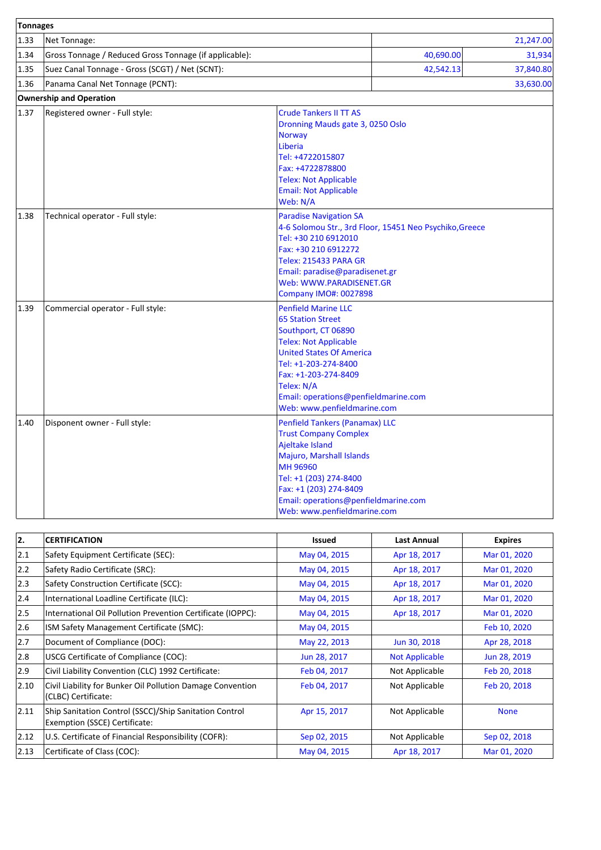| Tonnages |                                                        |                                                                                                                                                                                                                                                                                       |                                                         |           |
|----------|--------------------------------------------------------|---------------------------------------------------------------------------------------------------------------------------------------------------------------------------------------------------------------------------------------------------------------------------------------|---------------------------------------------------------|-----------|
| 1.33     | Net Tonnage:                                           |                                                                                                                                                                                                                                                                                       |                                                         | 21,247.00 |
| 1.34     | Gross Tonnage / Reduced Gross Tonnage (if applicable): | 40,690.00                                                                                                                                                                                                                                                                             | 31,934                                                  |           |
| 1.35     | Suez Canal Tonnage - Gross (SCGT) / Net (SCNT):        | 42,542.13                                                                                                                                                                                                                                                                             | 37,840.80                                               |           |
| 1.36     | Panama Canal Net Tonnage (PCNT):                       |                                                                                                                                                                                                                                                                                       |                                                         | 33,630.00 |
|          | <b>Ownership and Operation</b>                         |                                                                                                                                                                                                                                                                                       |                                                         |           |
| 1.37     | Registered owner - Full style:                         | <b>Crude Tankers II TT AS</b><br>Dronning Mauds gate 3, 0250 Oslo<br><b>Norway</b><br>Liberia<br>Tel: +4722015807<br>Fax: +4722878800<br><b>Telex: Not Applicable</b><br><b>Email: Not Applicable</b><br>Web: N/A                                                                     |                                                         |           |
| 1.38     | Technical operator - Full style:                       | <b>Paradise Navigation SA</b><br>Tel: +30 210 6912010<br>Fax: +30 210 6912272<br><b>Telex: 215433 PARA GR</b><br>Email: paradise@paradisenet.gr<br>Web: WWW.PARADISENET.GR<br><b>Company IMO#: 0027898</b>                                                                            | 4-6 Solomou Str., 3rd Floor, 15451 Neo Psychiko, Greece |           |
| 1.39     | Commercial operator - Full style:                      | <b>Penfield Marine LLC</b><br><b>65 Station Street</b><br>Southport, CT 06890<br><b>Telex: Not Applicable</b><br><b>United States Of America</b><br>Tel: +1-203-274-8400<br>Fax: +1-203-274-8409<br>Telex: N/A<br>Email: operations@penfieldmarine.com<br>Web: www.penfieldmarine.com |                                                         |           |
| 1.40     | Disponent owner - Full style:                          | <b>Penfield Tankers (Panamax) LLC</b><br><b>Trust Company Complex</b><br>Ajeltake Island<br>Majuro, Marshall Islands<br>MH 96960<br>Tel: +1 (203) 274-8400<br>Fax: +1 (203) 274-8409<br>Email: operations@penfieldmarine.com<br>Web: www.penfieldmarine.com                           |                                                         |           |

| 2.            | <b>CERTIFICATION</b>                                                                    | Issued       | Last Annual           | <b>Expires</b> |
|---------------|-----------------------------------------------------------------------------------------|--------------|-----------------------|----------------|
| 2.1           | Safety Equipment Certificate (SEC):                                                     | May 04, 2015 | Apr 18, 2017          | Mar 01, 2020   |
| 2.2           | Safety Radio Certificate (SRC):                                                         | May 04, 2015 | Apr 18, 2017          | Mar 01, 2020   |
| $ 2.3\rangle$ | Safety Construction Certificate (SCC):                                                  | May 04, 2015 | Apr 18, 2017          | Mar 01, 2020   |
| 2.4           | International Loadline Certificate (ILC):                                               | May 04, 2015 | Apr 18, 2017          | Mar 01, 2020   |
| 2.5           | International Oil Pollution Prevention Certificate (IOPPC):                             | May 04, 2015 | Apr 18, 2017          | Mar 01, 2020   |
| 2.6           | ISM Safety Management Certificate (SMC):                                                | May 04, 2015 |                       | Feb 10, 2020   |
| 2.7           | Document of Compliance (DOC):                                                           | May 22, 2013 | Jun 30, 2018          | Apr 28, 2018   |
| 2.8           | USCG Certificate of Compliance (COC):                                                   | Jun 28, 2017 | <b>Not Applicable</b> | Jun 28, 2019   |
| 2.9           | Civil Liability Convention (CLC) 1992 Certificate:                                      | Feb 04, 2017 | Not Applicable        | Feb 20, 2018   |
| 2.10          | Civil Liability for Bunker Oil Pollution Damage Convention<br>(CLBC) Certificate:       | Feb 04, 2017 | Not Applicable        | Feb 20, 2018   |
| 2.11          | Ship Sanitation Control (SSCC)/Ship Sanitation Control<br>Exemption (SSCE) Certificate: | Apr 15, 2017 | Not Applicable        | <b>None</b>    |
| 2.12          | U.S. Certificate of Financial Responsibility (COFR):                                    | Sep 02, 2015 | Not Applicable        | Sep 02, 2018   |
| 2.13          | Certificate of Class (COC):                                                             | May 04, 2015 | Apr 18, 2017          | Mar 01, 2020   |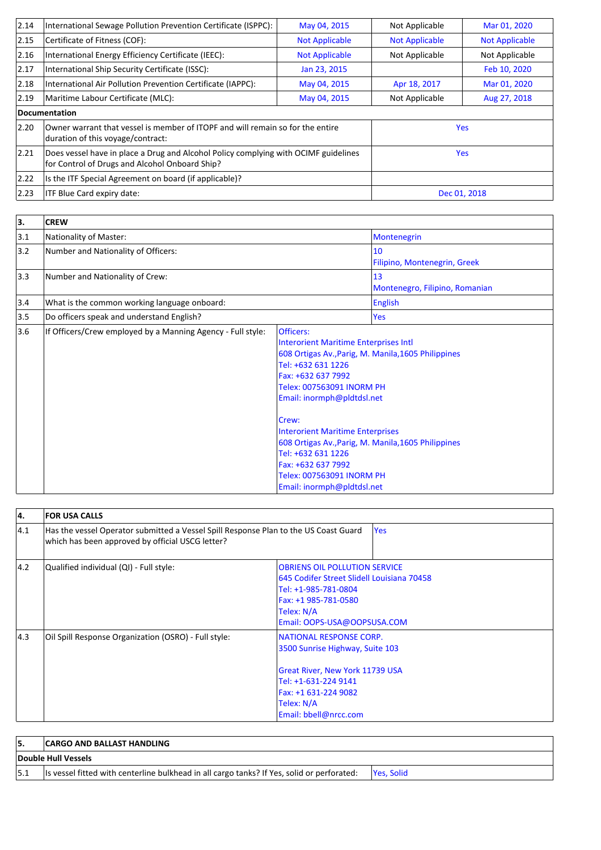| 2.14 | International Sewage Pollution Prevention Certificate (ISPPC):<br>May 04, 2015<br>Not Applicable<br>Mar 01, 2020                      |                       |                                |                       |  |  |
|------|---------------------------------------------------------------------------------------------------------------------------------------|-----------------------|--------------------------------|-----------------------|--|--|
| 2.15 | Certificate of Fitness (COF):                                                                                                         | <b>Not Applicable</b> | <b>Not Applicable</b>          | <b>Not Applicable</b> |  |  |
| 2.16 | International Energy Efficiency Certificate (IEEC):                                                                                   | <b>Not Applicable</b> | Not Applicable                 | Not Applicable        |  |  |
| 2.17 | International Ship Security Certificate (ISSC):                                                                                       | Jan 23, 2015          | Feb 10, 2020                   |                       |  |  |
| 2.18 | International Air Pollution Prevention Certificate (IAPPC):                                                                           | May 04, 2015          | Apr 18, 2017<br>Mar 01, 2020   |                       |  |  |
| 2.19 | Maritime Labour Certificate (MLC):                                                                                                    | May 04, 2015          | Not Applicable<br>Aug 27, 2018 |                       |  |  |
|      | <b>Documentation</b>                                                                                                                  |                       |                                |                       |  |  |
| 2.20 | Owner warrant that vessel is member of ITOPF and will remain so for the entire<br>duration of this voyage/contract:                   |                       | <b>Yes</b>                     |                       |  |  |
| 2.21 | Does vessel have in place a Drug and Alcohol Policy complying with OCIMF guidelines<br>for Control of Drugs and Alcohol Onboard Ship? |                       | <b>Yes</b>                     |                       |  |  |
| 2.22 | Is the ITF Special Agreement on board (if applicable)?                                                                                |                       |                                |                       |  |  |
| 2.23 | ITF Blue Card expiry date:                                                                                                            |                       | Dec 01, 2018                   |                       |  |  |

| 3.  | <b>CREW</b>                                                 |                                                                                                                                                                                                                                                                             |                                                     |
|-----|-------------------------------------------------------------|-----------------------------------------------------------------------------------------------------------------------------------------------------------------------------------------------------------------------------------------------------------------------------|-----------------------------------------------------|
| 3.1 | Nationality of Master:                                      |                                                                                                                                                                                                                                                                             | <b>Montenegrin</b>                                  |
| 3.2 | Number and Nationality of Officers:                         |                                                                                                                                                                                                                                                                             | 10<br>Filipino, Montenegrin, Greek                  |
| 3.3 | Number and Nationality of Crew:                             |                                                                                                                                                                                                                                                                             | 13<br>Montenegro, Filipino, Romanian                |
| 3.4 | What is the common working language onboard:                |                                                                                                                                                                                                                                                                             | <b>English</b>                                      |
| 3.5 | Do officers speak and understand English?                   |                                                                                                                                                                                                                                                                             | Yes                                                 |
| 3.6 | If Officers/Crew employed by a Manning Agency - Full style: | Officers:<br><b>Interorient Maritime Enterprises Intl</b><br>608 Ortigas Av., Parig, M. Manila, 1605 Philippines<br>Tel: +632 631 1226<br>Fax: +632 637 7992<br>Telex: 007563091 INORM PH<br>Email: inormph@pldtdsl.net<br>Crew:<br><b>Interorient Maritime Enterprises</b> |                                                     |
|     |                                                             | Tel: +632 631 1226<br>Fax: +632 637 7992<br>Telex: 007563091 INORM PH<br>Email: inormph@pldtdsl.net                                                                                                                                                                         | 608 Ortigas Av., Parig, M. Manila, 1605 Philippines |

| 4.  | <b>FOR USA CALLS</b>                                                                                                                     |                                                                                                                                                                                             |
|-----|------------------------------------------------------------------------------------------------------------------------------------------|---------------------------------------------------------------------------------------------------------------------------------------------------------------------------------------------|
| 4.1 | Has the vessel Operator submitted a Vessel Spill Response Plan to the US Coast Guard<br>which has been approved by official USCG letter? | Yes                                                                                                                                                                                         |
| 4.2 | Qualified individual (QI) - Full style:                                                                                                  | <b>OBRIENS OIL POLLUTION SERVICE</b><br>645 Codifer Street Slidell Louisiana 70458<br>Tel: +1-985-781-0804<br>Fax: +1 985-781-0580<br>Telex: N/A<br>Email: OOPS-USA@OOPSUSA.COM             |
| 4.3 | Oil Spill Response Organization (OSRO) - Full style:                                                                                     | NATIONAL RESPONSE CORP.<br>3500 Sunrise Highway, Suite 103<br><b>Great River, New York 11739 USA</b><br>Tel: +1-631-224 9141<br>Fax: +1 631-224 9082<br>Telex: N/A<br>Email: bbell@nrcc.com |

| 15. | <b>CARGO AND BALLAST HANDLING</b>                                                           |                   |
|-----|---------------------------------------------------------------------------------------------|-------------------|
|     | Double Hull Vessels                                                                         |                   |
|     | Its vessel fitted with centerline bulkhead in all cargo tanks? If Yes, solid or perforated: | <b>Yes. Solid</b> |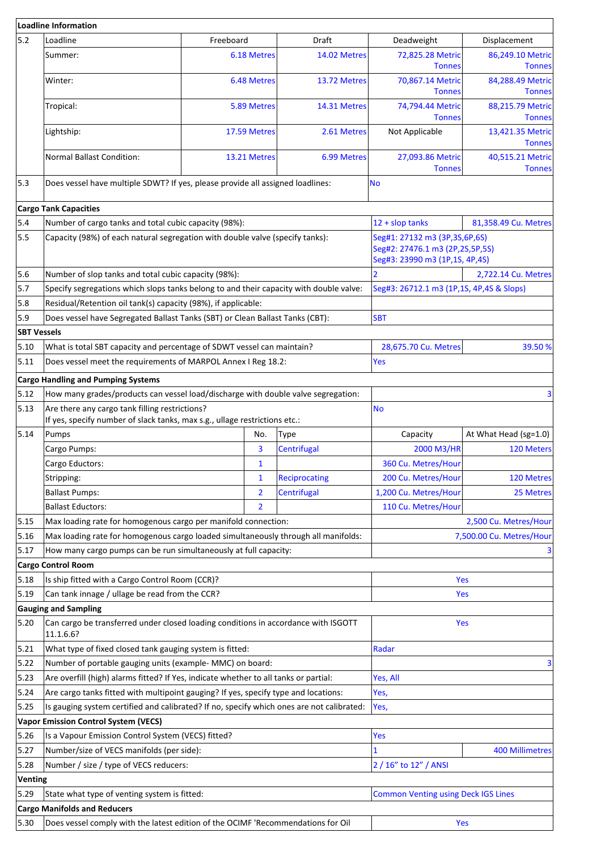|                    | Loadline Information                                                                                                         |                |                        |                                                                                                    |                                   |
|--------------------|------------------------------------------------------------------------------------------------------------------------------|----------------|------------------------|----------------------------------------------------------------------------------------------------|-----------------------------------|
| 5.2                | Loadline                                                                                                                     | Freeboard      | Draft                  | Deadweight                                                                                         | Displacement                      |
|                    | Summer:                                                                                                                      | 6.18 Metres    | 14.02 Metres           | 72,825.28 Metric<br><b>Tonnes</b>                                                                  | 86,249.10 Metric<br><b>Tonnes</b> |
|                    | Winter:                                                                                                                      | 6.48 Metres    | 13.72 Metres           | 70,867.14 Metric<br><b>Tonnes</b>                                                                  | 84,288.49 Metric<br><b>Tonnes</b> |
|                    | Tropical:                                                                                                                    | 5.89 Metres    | 14.31 Metres           | 74,794.44 Metric<br><b>Tonnes</b>                                                                  | 88,215.79 Metric<br><b>Tonnes</b> |
|                    | Lightship:                                                                                                                   | 17.59 Metres   | 2.61 Metres            | Not Applicable                                                                                     | 13,421.35 Metric<br><b>Tonnes</b> |
|                    | <b>Normal Ballast Condition:</b>                                                                                             | 13.21 Metres   | 6.99 Metres            | 27,093.86 Metric<br><b>Tonnes</b>                                                                  | 40,515.21 Metric<br><b>Tonnes</b> |
| 5.3                | Does vessel have multiple SDWT? If yes, please provide all assigned loadlines:                                               |                |                        | <b>No</b>                                                                                          |                                   |
|                    | <b>Cargo Tank Capacities</b>                                                                                                 |                |                        |                                                                                                    |                                   |
| 5.4                | Number of cargo tanks and total cubic capacity (98%):                                                                        |                |                        | $12 +$ slop tanks                                                                                  | 81,358.49 Cu. Metres              |
| 5.5                | Capacity (98%) of each natural segregation with double valve (specify tanks):                                                |                |                        | Seg#1: 27132 m3 (3P,3S,6P,6S)<br>Seg#2: 27476.1 m3 (2P,2S,5P,5S)<br>Seg#3: 23990 m3 (1P,1S, 4P,4S) |                                   |
| 5.6                | Number of slop tanks and total cubic capacity (98%):                                                                         |                |                        | 2                                                                                                  | 2,722.14 Cu. Metres               |
| 5.7                | Specify segregations which slops tanks belong to and their capacity with double valve:                                       |                |                        | Seg#3: 26712.1 m3 (1P,1S, 4P,4S & Slops)                                                           |                                   |
| 5.8                | Residual/Retention oil tank(s) capacity (98%), if applicable:                                                                |                |                        |                                                                                                    |                                   |
| 5.9                | Does vessel have Segregated Ballast Tanks (SBT) or Clean Ballast Tanks (CBT):                                                |                |                        | <b>SBT</b>                                                                                         |                                   |
| <b>SBT Vessels</b> |                                                                                                                              |                |                        |                                                                                                    |                                   |
| 5.10               | What is total SBT capacity and percentage of SDWT vessel can maintain?                                                       |                | 28,675.70 Cu. Metres   | 39.50 %                                                                                            |                                   |
| 5.11               | Does vessel meet the requirements of MARPOL Annex I Reg 18.2:                                                                | Yes            |                        |                                                                                                    |                                   |
|                    | <b>Cargo Handling and Pumping Systems</b>                                                                                    |                |                        |                                                                                                    |                                   |
| 5.12               | How many grades/products can vessel load/discharge with double valve segregation:                                            |                |                        |                                                                                                    | 3                                 |
| 5.13               | Are there any cargo tank filling restrictions?<br>If yes, specify number of slack tanks, max s.g., ullage restrictions etc.: |                |                        | No                                                                                                 |                                   |
| 5.14               | Pumps                                                                                                                        | No.            | <b>Type</b>            | Capacity                                                                                           | At What Head (sg=1.0)             |
|                    | Cargo Pumps:                                                                                                                 | 3              | Centrifugal            | 2000 M3/HR                                                                                         | 120 Meters                        |
|                    | Cargo Eductors:                                                                                                              | $\mathbf{1}$   |                        | 360 Cu. Metres/Hour                                                                                |                                   |
|                    | Stripping:                                                                                                                   | $\mathbf{1}$   | <b>Reciprocating</b>   | 200 Cu. Metres/Hour                                                                                | 120 Metres                        |
|                    | <b>Ballast Pumps:</b>                                                                                                        | 2              | Centrifugal            | 1,200 Cu. Metres/Hour                                                                              | 25 Metres                         |
|                    | <b>Ballast Eductors:</b>                                                                                                     | $\overline{2}$ |                        | 110 Cu. Metres/Hour                                                                                |                                   |
| 5.15               | Max loading rate for homogenous cargo per manifold connection:                                                               |                |                        |                                                                                                    | 2,500 Cu. Metres/Hour             |
| 5.16               | Max loading rate for homogenous cargo loaded simultaneously through all manifolds:                                           |                |                        |                                                                                                    | 7,500.00 Cu. Metres/Hour          |
| 5.17               | How many cargo pumps can be run simultaneously at full capacity:                                                             |                |                        |                                                                                                    | 3                                 |
|                    | <b>Cargo Control Room</b>                                                                                                    |                |                        |                                                                                                    |                                   |
| 5.18               | Is ship fitted with a Cargo Control Room (CCR)?                                                                              |                |                        | Yes                                                                                                |                                   |
| 5.19               | Can tank innage / ullage be read from the CCR?                                                                               |                |                        | Yes                                                                                                |                                   |
|                    | <b>Gauging and Sampling</b>                                                                                                  |                |                        |                                                                                                    |                                   |
| 5.20               | Can cargo be transferred under closed loading conditions in accordance with ISGOTT<br>11.1.6.6?                              |                |                        | Yes                                                                                                |                                   |
| 5.21               | What type of fixed closed tank gauging system is fitted:                                                                     |                |                        | Radar                                                                                              |                                   |
| 5.22               | Number of portable gauging units (example- MMC) on board:                                                                    |                |                        |                                                                                                    | 3                                 |
| 5.23               | Are overfill (high) alarms fitted? If Yes, indicate whether to all tanks or partial:                                         |                |                        | Yes, All                                                                                           |                                   |
| 5.24               | Are cargo tanks fitted with multipoint gauging? If yes, specify type and locations:                                          |                |                        | Yes,                                                                                               |                                   |
| 5.25               | Is gauging system certified and calibrated? If no, specify which ones are not calibrated:                                    |                |                        | Yes,                                                                                               |                                   |
|                    | <b>Vapor Emission Control System (VECS)</b>                                                                                  |                |                        |                                                                                                    |                                   |
| 5.26               | Is a Vapour Emission Control System (VECS) fitted?                                                                           | Yes            |                        |                                                                                                    |                                   |
| 5.27               | Number/size of VECS manifolds (per side):                                                                                    | 1              | <b>400 Millimetres</b> |                                                                                                    |                                   |
| 5.28               | Number / size / type of VECS reducers:                                                                                       |                |                        | 2 / 16" to 12" / ANSI                                                                              |                                   |
| Venting            |                                                                                                                              |                |                        |                                                                                                    |                                   |
| 5.29               | State what type of venting system is fitted:                                                                                 |                |                        | <b>Common Venting using Deck IGS Lines</b>                                                         |                                   |
|                    | <b>Cargo Manifolds and Reducers</b>                                                                                          |                |                        |                                                                                                    |                                   |
|                    |                                                                                                                              |                |                        |                                                                                                    |                                   |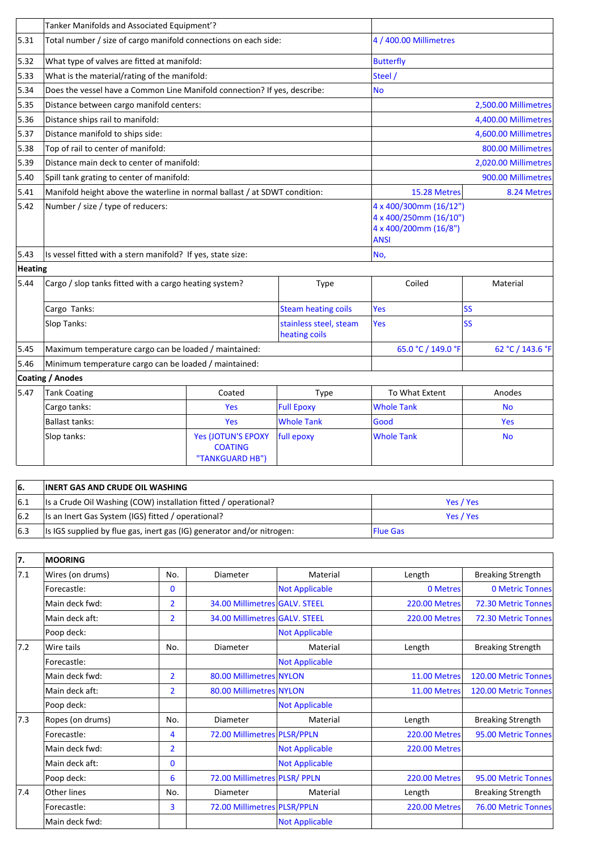|                | Tanker Manifolds and Associated Equipment'?                                |                                                                 |                                         |                                                                                          |                      |  |
|----------------|----------------------------------------------------------------------------|-----------------------------------------------------------------|-----------------------------------------|------------------------------------------------------------------------------------------|----------------------|--|
| 5.31           |                                                                            | Total number / size of cargo manifold connections on each side: |                                         |                                                                                          |                      |  |
| 5.32           | What type of valves are fitted at manifold:                                |                                                                 |                                         | <b>Butterfly</b>                                                                         |                      |  |
| 5.33           | What is the material/rating of the manifold:                               |                                                                 |                                         | Steel /                                                                                  |                      |  |
| 5.34           | Does the vessel have a Common Line Manifold connection? If yes, describe:  |                                                                 |                                         | No                                                                                       |                      |  |
| 5.35           | Distance between cargo manifold centers:                                   |                                                                 |                                         |                                                                                          | 2,500.00 Millimetres |  |
| 5.36           | Distance ships rail to manifold:                                           |                                                                 |                                         |                                                                                          | 4,400.00 Millimetres |  |
| 5.37           | Distance manifold to ships side:                                           |                                                                 |                                         |                                                                                          | 4,600.00 Millimetres |  |
| 5.38           | Top of rail to center of manifold:                                         |                                                                 |                                         |                                                                                          | 800.00 Millimetres   |  |
| 5.39           | Distance main deck to center of manifold:                                  |                                                                 |                                         |                                                                                          | 2,020.00 Millimetres |  |
| 5.40           | Spill tank grating to center of manifold:                                  |                                                                 |                                         |                                                                                          | 900.00 Millimetres   |  |
| 5.41           | Manifold height above the waterline in normal ballast / at SDWT condition: |                                                                 |                                         | 15.28 Metres                                                                             | 8.24 Metres          |  |
| 5.42           | Number / size / type of reducers:                                          |                                                                 |                                         | 4 x 400/300mm (16/12")<br>4 x 400/250mm (16/10")<br>4 x 400/200mm (16/8")<br><b>ANSI</b> |                      |  |
| 5.43           | Is vessel fitted with a stern manifold? If yes, state size:                |                                                                 |                                         | No,                                                                                      |                      |  |
| <b>Heating</b> |                                                                            |                                                                 |                                         |                                                                                          |                      |  |
| 5.44           | Cargo / slop tanks fitted with a cargo heating system?                     |                                                                 | <b>Type</b>                             | Coiled                                                                                   | Material             |  |
|                | Cargo Tanks:                                                               |                                                                 | <b>Steam heating coils</b>              | Yes                                                                                      | <b>SS</b>            |  |
|                | Slop Tanks:                                                                |                                                                 | stainless steel, steam<br>heating coils | Yes                                                                                      | <b>SS</b>            |  |
| 5.45           | Maximum temperature cargo can be loaded / maintained:                      |                                                                 |                                         | 65.0 °C / 149.0 °F                                                                       | 62 °C / 143.6 °F     |  |
| 5.46           | Minimum temperature cargo can be loaded / maintained:                      |                                                                 |                                         |                                                                                          |                      |  |
|                | Coating / Anodes                                                           |                                                                 |                                         |                                                                                          |                      |  |
| 5.47           | <b>Tank Coating</b>                                                        | Coated                                                          | Type                                    | To What Extent                                                                           | Anodes               |  |
|                | Cargo tanks:                                                               | Yes                                                             | <b>Full Epoxy</b>                       | <b>Whole Tank</b>                                                                        | <b>No</b>            |  |
|                | <b>Ballast tanks:</b>                                                      | Yes                                                             | <b>Whole Tank</b>                       | Good                                                                                     | Yes                  |  |
|                | Slop tanks:                                                                | <b>Yes (JOTUN'S EPOXY</b><br><b>COATING</b><br>"TANKGUARD HB")  | full epoxy                              | <b>Whole Tank</b>                                                                        | <b>No</b>            |  |

| 66. | <b>INERT GAS AND CRUDE OIL WASHING</b>                                 |                 |  |
|-----|------------------------------------------------------------------------|-----------------|--|
| 6.1 | Is a Crude Oil Washing (COW) installation fitted / operational?        | Yes / Yes       |  |
| 6.2 | Is an Inert Gas System (IGS) fitted / operational?                     | Yes / Yes       |  |
| 6.3 | Is IGS supplied by flue gas, inert gas (IG) generator and/or nitrogen: | <b>Flue Gas</b> |  |

| 7.  | <b>MOORING</b>   |                |                               |                       |                      |                            |
|-----|------------------|----------------|-------------------------------|-----------------------|----------------------|----------------------------|
| 7.1 | Wires (on drums) | No.            | Diameter                      | Material              | Length               | <b>Breaking Strength</b>   |
|     | Forecastle:      | $\mathbf{0}$   |                               | <b>Not Applicable</b> | 0 Metres             | 0 Metric Tonnes            |
|     | Main deck fwd:   | $\overline{2}$ | 34.00 Millimetres GALV. STEEL |                       | <b>220.00 Metres</b> | <b>72.30 Metric Tonnes</b> |
|     | Main deck aft:   | $\overline{2}$ | 34.00 Millimetres GALV. STEEL |                       | <b>220.00 Metres</b> | 72.30 Metric Tonnes        |
|     | Poop deck:       |                |                               | <b>Not Applicable</b> |                      |                            |
| 7.2 | Wire tails       | No.            | Diameter                      | Material              | Length               | <b>Breaking Strength</b>   |
|     | Forecastle:      |                |                               | <b>Not Applicable</b> |                      |                            |
|     | Main deck fwd:   | $\overline{2}$ | 80.00 Millimetres NYLON       |                       | 11.00 Metres         | 120.00 Metric Tonnes       |
|     | Main deck aft:   | $\overline{2}$ | 80.00 Millimetres NYLON       |                       | 11.00 Metres         | 120.00 Metric Tonnes       |
|     | Poop deck:       |                |                               | <b>Not Applicable</b> |                      |                            |
| 7.3 | Ropes (on drums) | No.            | Diameter                      | Material              | Length               | <b>Breaking Strength</b>   |
|     | Forecastle:      | 4              | 72.00 Millimetres PLSR/PPLN   |                       | <b>220.00 Metres</b> | 95.00 Metric Tonnes        |
|     | Main deck fwd:   | $\overline{2}$ |                               | <b>Not Applicable</b> | <b>220.00 Metres</b> |                            |
|     | Main deck aft:   | $\mathbf{0}$   |                               | <b>Not Applicable</b> |                      |                            |
|     | Poop deck:       | 6              | 72.00 Millimetres PLSR/ PPLN  |                       | <b>220.00 Metres</b> | 95.00 Metric Tonnes        |
| 7.4 | Other lines      | No.            | Diameter                      | Material              | Length               | <b>Breaking Strength</b>   |
|     | Forecastle:      | 3              | 72.00 Millimetres PLSR/PPLN   |                       | <b>220.00 Metres</b> | 76.00 Metric Tonnes        |
|     | Main deck fwd:   |                |                               | <b>Not Applicable</b> |                      |                            |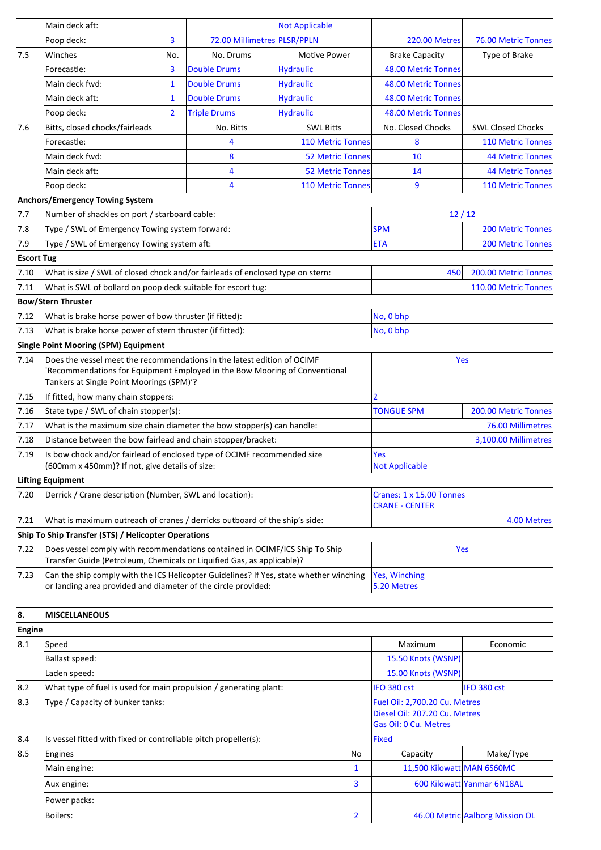|                   | Main deck aft:                                                                                                                                                                                    |                |                             | <b>Not Applicable</b>                             |                                     |                          |
|-------------------|---------------------------------------------------------------------------------------------------------------------------------------------------------------------------------------------------|----------------|-----------------------------|---------------------------------------------------|-------------------------------------|--------------------------|
|                   | Poop deck:                                                                                                                                                                                        | $\overline{3}$ | 72.00 Millimetres PLSR/PPLN |                                                   | <b>220.00 Metres</b>                | 76.00 Metric Tonnes      |
| 7.5               | Winches                                                                                                                                                                                           | No.            | No. Drums                   | <b>Motive Power</b>                               | <b>Brake Capacity</b>               | Type of Brake            |
|                   | Forecastle:                                                                                                                                                                                       | 3              | <b>Double Drums</b>         | <b>Hydraulic</b>                                  | <b>48.00 Metric Tonnes</b>          |                          |
|                   | Main deck fwd:                                                                                                                                                                                    | 1              | <b>Double Drums</b>         | <b>Hydraulic</b>                                  | 48.00 Metric Tonnes                 |                          |
|                   | Main deck aft:                                                                                                                                                                                    | 1              | <b>Double Drums</b>         | <b>Hydraulic</b>                                  | <b>48.00 Metric Tonnes</b>          |                          |
|                   | Poop deck:                                                                                                                                                                                        | $\overline{2}$ | <b>Triple Drums</b>         | <b>Hydraulic</b>                                  | <b>48.00 Metric Tonnes</b>          |                          |
| 7.6               | Bitts, closed chocks/fairleads                                                                                                                                                                    |                | No. Bitts                   | <b>SWL Bitts</b>                                  | No. Closed Chocks                   | <b>SWL Closed Chocks</b> |
|                   | Forecastle:                                                                                                                                                                                       |                | 4                           | <b>110 Metric Tonnes</b>                          | 8                                   | <b>110 Metric Tonnes</b> |
|                   | Main deck fwd:                                                                                                                                                                                    |                | 8                           | <b>52 Metric Tonnes</b>                           | 10                                  | <b>44 Metric Tonnes</b>  |
|                   | Main deck aft:                                                                                                                                                                                    |                | 4                           | <b>52 Metric Tonnes</b>                           | 14                                  | <b>44 Metric Tonnes</b>  |
|                   | Poop deck:                                                                                                                                                                                        |                | 4                           | <b>110 Metric Tonnes</b>                          | 9                                   | <b>110 Metric Tonnes</b> |
|                   | <b>Anchors/Emergency Towing System</b>                                                                                                                                                            |                |                             |                                                   |                                     |                          |
| 7.7               | Number of shackles on port / starboard cable:                                                                                                                                                     |                |                             |                                                   | 12/12                               |                          |
| 7.8               | Type / SWL of Emergency Towing system forward:                                                                                                                                                    |                |                             |                                                   | <b>SPM</b>                          | <b>200 Metric Tonnes</b> |
| 7.9               | Type / SWL of Emergency Towing system aft:                                                                                                                                                        |                |                             |                                                   | ETA                                 | <b>200 Metric Tonnes</b> |
| <b>Escort Tug</b> |                                                                                                                                                                                                   |                |                             |                                                   |                                     |                          |
| 7.10              | What is size / SWL of closed chock and/or fairleads of enclosed type on stern:                                                                                                                    |                |                             |                                                   | 450                                 | 200.00 Metric Tonnes     |
| 7.11              | What is SWL of bollard on poop deck suitable for escort tug:                                                                                                                                      |                |                             |                                                   |                                     | 110.00 Metric Tonnes     |
|                   | <b>Bow/Stern Thruster</b>                                                                                                                                                                         |                |                             |                                                   |                                     |                          |
| 7.12              | What is brake horse power of bow thruster (if fitted):                                                                                                                                            |                |                             |                                                   | No, 0 bhp                           |                          |
| 7.13              | What is brake horse power of stern thruster (if fitted):                                                                                                                                          |                |                             |                                                   | No, 0 bhp                           |                          |
|                   | Single Point Mooring (SPM) Equipment                                                                                                                                                              |                |                             |                                                   |                                     |                          |
| 7.14              | Does the vessel meet the recommendations in the latest edition of OCIMF<br>'Recommendations for Equipment Employed in the Bow Mooring of Conventional<br>Tankers at Single Point Moorings (SPM)'? |                |                             |                                                   | Yes                                 |                          |
| 7.15              | If fitted, how many chain stoppers:                                                                                                                                                               |                |                             |                                                   | $\overline{2}$                      |                          |
| 7.16              | State type / SWL of chain stopper(s):                                                                                                                                                             |                |                             |                                                   | <b>TONGUE SPM</b>                   | 200.00 Metric Tonnes     |
| 7.17              | What is the maximum size chain diameter the bow stopper(s) can handle:                                                                                                                            |                |                             |                                                   |                                     | 76.00 Millimetres        |
| 7.18              | Distance between the bow fairlead and chain stopper/bracket:                                                                                                                                      |                |                             |                                                   | 3,100.00 Millimetres                |                          |
| 7.19              | Is bow chock and/or fairlead of enclosed type of OCIMF recommended size<br>(600mm x 450mm)? If not, give details of size:                                                                         |                |                             |                                                   | Yes<br><b>Not Applicable</b>        |                          |
|                   | <b>Lifting Equipment</b>                                                                                                                                                                          |                |                             |                                                   |                                     |                          |
| 7.20              | Derrick / Crane description (Number, SWL and location):                                                                                                                                           |                |                             | Cranes: 1 x 15.00 Tonnes<br><b>CRANE - CENTER</b> |                                     |                          |
| 7.21              | What is maximum outreach of cranes / derricks outboard of the ship's side:                                                                                                                        |                |                             |                                                   |                                     | 4.00 Metres              |
|                   | Ship To Ship Transfer (STS) / Helicopter Operations                                                                                                                                               |                |                             |                                                   |                                     |                          |
| 7.22              | Does vessel comply with recommendations contained in OCIMF/ICS Ship To Ship<br>Transfer Guide (Petroleum, Chemicals or Liquified Gas, as applicable)?                                             |                |                             |                                                   | Yes                                 |                          |
| 7.23              | Can the ship comply with the ICS Helicopter Guidelines? If Yes, state whether winching<br>or landing area provided and diameter of the circle provided:                                           |                |                             |                                                   | <b>Yes, Winching</b><br>5.20 Metres |                          |

| 8.     | <b>MISCELLANEOUS</b>                                              |                    |                                                                                         |                                 |  |  |  |  |
|--------|-------------------------------------------------------------------|--------------------|-----------------------------------------------------------------------------------------|---------------------------------|--|--|--|--|
| Engine |                                                                   |                    |                                                                                         |                                 |  |  |  |  |
| 8.1    | Speed                                                             |                    | Maximum                                                                                 | Economic                        |  |  |  |  |
|        | <b>Ballast speed:</b>                                             | 15.50 Knots (WSNP) |                                                                                         |                                 |  |  |  |  |
|        | Laden speed:                                                      |                    | 15.00 Knots (WSNP)                                                                      |                                 |  |  |  |  |
| 8.2    | What type of fuel is used for main propulsion / generating plant: |                    | IFO 380 cst                                                                             | IFO 380 cst                     |  |  |  |  |
| 8.3    | Type / Capacity of bunker tanks:                                  |                    | Fuel Oil: 2,700.20 Cu. Metres<br>Diesel Oil: 207.20 Cu. Metres<br>Gas Oil: 0 Cu. Metres |                                 |  |  |  |  |
| 8.4    | Is vessel fitted with fixed or controllable pitch propeller(s):   |                    | <b>Fixed</b>                                                                            |                                 |  |  |  |  |
| 8.5    | Engines                                                           | No                 | Capacity                                                                                | Make/Type                       |  |  |  |  |
|        | Main engine:                                                      | 1                  | 11,500 Kilowatt MAN 6S60MC                                                              |                                 |  |  |  |  |
|        | Aux engine:                                                       | 3                  |                                                                                         | 600 Kilowatt Yanmar 6N18AL      |  |  |  |  |
|        | Power packs:                                                      |                    |                                                                                         |                                 |  |  |  |  |
|        | Boilers:                                                          | $\overline{2}$     |                                                                                         | 46.00 Metric Aalborg Mission OL |  |  |  |  |